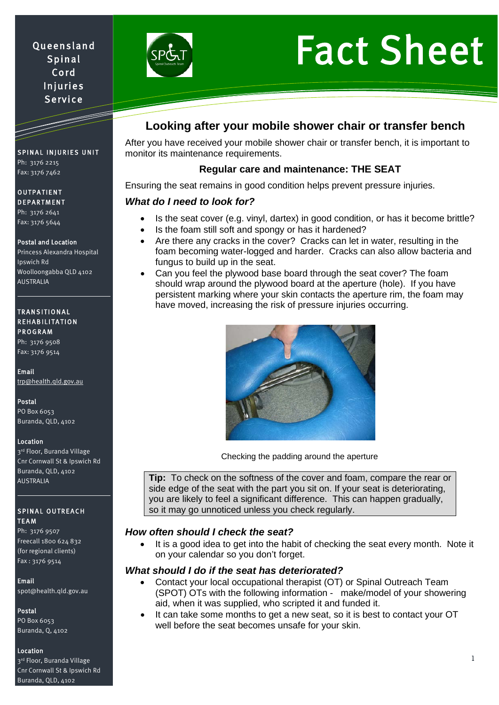# Queensland Spinal Cord Injuries Service



# Fact Sheet

# SPINAL INJURIES UNIT

Ph: 3176 2215 Fax: 3176 7462

### OUTPATIENT DEPARTMENT

Ph: 3176 2641 Fax: 3176 5644

### Postal and Location

Princess Alexandra Hospital Ipswich Rd Woolloongabba QLD 4102 AUSTRALIA

#### TRANSITIONAL REHABILITATION **PROGRAM**

Ph: 3176 9508 Fax: 3176 9514

Email [trp@health.qld.gov.au](mailto:trp@health.qld.gov.au) 

Postal PO Box 6053 Buranda, QLD, 4102

### Location

3rd Floor, Buranda Village Cnr Cornwall St & Ipswich Rd Buranda, QLD, 4102 AUSTRALIA

### SPINAL OUTREACH TEAM

Ph: 3176 9507 Freecall 1800 624 832 (for regional clients) Fax : 3176 9514

### Email

[spot@health.qld.gov.au](mailto:spot@health.qld.gov.au) 

# Postal

PO Box 6053 Buranda, Q, 4102

# Location

3rd Floor, Buranda Village Cnr Cornwall St & Ipswich Rd Buranda, QLD, 4102

# **Looking after your mobile shower chair or transfer bench**

After you have received your mobile shower chair or transfer bench, it is important to monitor its maintenance requirements.

# **Regular care and maintenance: THE SEAT**

Ensuring the seat remains in good condition helps prevent pressure injuries.

# *What do I need to look for?*

- Is the seat cover (e.g. vinyl, dartex) in good condition, or has it become brittle?
- Is the foam still soft and spongy or has it hardened?
- Are there any cracks in the cover? Cracks can let in water, resulting in the foam becoming water-logged and harder. Cracks can also allow bacteria and fungus to build up in the seat.
- Can you feel the plywood base board through the seat cover? The foam should wrap around the plywood board at the aperture (hole). If you have persistent marking where your skin contacts the aperture rim, the foam may have moved, increasing the risk of pressure injuries occurring.



Checking the padding around the aperture

**Tip:** To check on the softness of the cover and foam, compare the rear or side edge of the seat with the part you sit on. If your seat is deteriorating, you are likely to feel a significant difference. This can happen gradually, so it may go unnoticed unless you check regularly.

# *How often should I check the seat?*

It is a good idea to get into the habit of checking the seat every month. Note it on your calendar so you don't forget.

# *What should I do if the seat has deteriorated?*

- Contact your local occupational therapist (OT) or Spinal Outreach Team (SPOT) OTs with the following information - make/model of your showering aid, when it was supplied, who scripted it and funded it.
- It can take some months to get a new seat, so it is best to contact your OT well before the seat becomes unsafe for your skin.